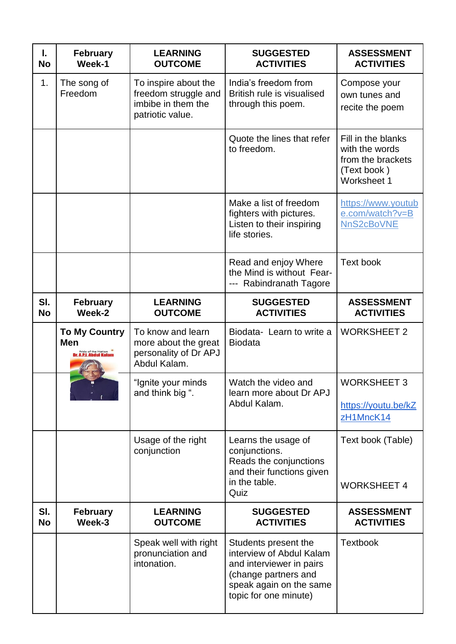| I.<br><b>No</b>  | <b>February</b><br>Week-1                          | <b>LEARNING</b><br><b>OUTCOME</b>                                                      | <b>SUGGESTED</b><br><b>ACTIVITIES</b>                                                                                                                    | <b>ASSESSMENT</b><br><b>ACTIVITIES</b>                                                  |
|------------------|----------------------------------------------------|----------------------------------------------------------------------------------------|----------------------------------------------------------------------------------------------------------------------------------------------------------|-----------------------------------------------------------------------------------------|
| 1.               | The song of<br>Freedom                             | To inspire about the<br>freedom struggle and<br>imbibe in them the<br>patriotic value. | India's freedom from<br>British rule is visualised<br>through this poem.                                                                                 | Compose your<br>own tunes and<br>recite the poem                                        |
|                  |                                                    |                                                                                        | Quote the lines that refer<br>to freedom.                                                                                                                | Fill in the blanks<br>with the words<br>from the brackets<br>(Text book)<br>Worksheet 1 |
|                  |                                                    |                                                                                        | Make a list of freedom<br>fighters with pictures.<br>Listen to their inspiring<br>life stories.                                                          | https://www.youtub<br>e.com/watch?v=B<br>NnS2cBoVNE                                     |
|                  |                                                    |                                                                                        | Read and enjoy Where<br>the Mind is without Fear-<br>--- Rabindranath Tagore                                                                             | <b>Text book</b>                                                                        |
| SI.<br><b>No</b> | February<br>Week-2                                 | <b>LEARNING</b><br><b>OUTCOME</b>                                                      | <b>SUGGESTED</b><br><b>ACTIVITIES</b>                                                                                                                    | <b>ASSESSMENT</b><br><b>ACTIVITIES</b>                                                  |
|                  | <b>To My Country</b><br>Men<br>Pride of the Nation | To know and learn<br>more about the great<br>personality of Dr APJ<br>Abdul Kalam.     | Biodata- Learn to write a<br><b>Biodata</b>                                                                                                              | <b>WORKSHEET 2</b>                                                                      |
|                  |                                                    | "Ignite your minds<br>and think big ".                                                 | Watch the video and<br>learn more about Dr APJ<br>Abdul Kalam.                                                                                           | <b>WORKSHEET 3</b><br>https://youtu.be/kZ<br>zH1MncK14                                  |
|                  |                                                    | Usage of the right<br>conjunction                                                      | Learns the usage of<br>conjunctions.<br>Reads the conjunctions<br>and their functions given<br>in the table.<br>Quiz                                     | Text book (Table)<br><b>WORKSHEET 4</b>                                                 |
| SI.<br><b>No</b> | <b>February</b><br>Week-3                          | <b>LEARNING</b><br><b>OUTCOME</b>                                                      | <b>SUGGESTED</b><br><b>ACTIVITIES</b>                                                                                                                    | <b>ASSESSMENT</b><br><b>ACTIVITIES</b>                                                  |
|                  |                                                    | Speak well with right<br>pronunciation and<br>intonation.                              | Students present the<br>interview of Abdul Kalam<br>and interviewer in pairs<br>(change partners and<br>speak again on the same<br>topic for one minute) | <b>Textbook</b>                                                                         |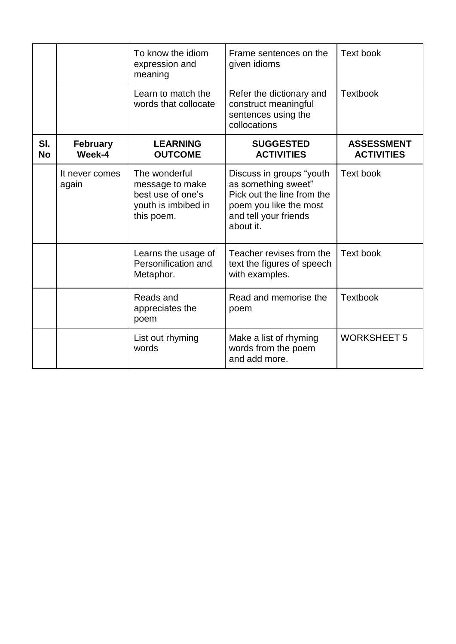|                  |                           | To know the idiom<br>expression and<br>meaning                                             | Frame sentences on the<br>given idioms                                                                                                        | Text book                              |
|------------------|---------------------------|--------------------------------------------------------------------------------------------|-----------------------------------------------------------------------------------------------------------------------------------------------|----------------------------------------|
|                  |                           | Learn to match the<br>words that collocate                                                 | Refer the dictionary and<br>construct meaningful<br>sentences using the<br>collocations                                                       | <b>Textbook</b>                        |
| SI.<br><b>No</b> | <b>February</b><br>Week-4 | <b>LEARNING</b><br><b>OUTCOME</b>                                                          | <b>SUGGESTED</b><br><b>ACTIVITIES</b>                                                                                                         | <b>ASSESSMENT</b><br><b>ACTIVITIES</b> |
|                  | It never comes<br>again   | The wonderful<br>message to make<br>best use of one's<br>youth is imbibed in<br>this poem. | Discuss in groups "youth<br>as something sweet"<br>Pick out the line from the<br>poem you like the most<br>and tell your friends<br>about it. | <b>Text book</b>                       |
|                  |                           | Learns the usage of<br>Personification and<br>Metaphor.                                    | Teacher revises from the<br>text the figures of speech<br>with examples.                                                                      | <b>Text book</b>                       |
|                  |                           | Reads and<br>appreciates the<br>poem                                                       | Read and memorise the<br>poem                                                                                                                 | <b>Textbook</b>                        |
|                  |                           | List out rhyming<br>words                                                                  | Make a list of rhyming<br>words from the poem<br>and add more.                                                                                | <b>WORKSHEET 5</b>                     |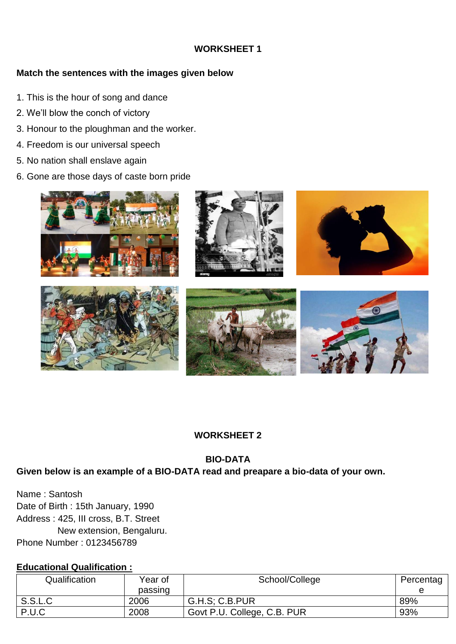## **WORKSHEET 1**

## **Match the sentences with the images given below**

- 1. This is the hour of song and dance
- 2. We'll blow the conch of victory
- 3. Honour to the ploughman and the worker.
- 4. Freedom is our universal speech
- 5. No nation shall enslave again
- 6. Gone are those days of caste born pride



# **WORKSHEET 2**

## **BIO-DATA**

## **Given below is an example of a BIO-DATA read and preapare a bio-data of your own.**

Name : Santosh Date of Birth : 15th January, 1990 Address : 425, III cross, B.T. Street New extension, Bengaluru. Phone Number : 0123456789

## **Educational Qualification :**

| Qualification | Year of | School/College              | Percentag |
|---------------|---------|-----------------------------|-----------|
|               | passing |                             |           |
| S.S.L.C       | 2006    | G.H.S; C.B.PUR              | 89%       |
| P.U.C         | 2008    | Govt P.U. College, C.B. PUR | 93%       |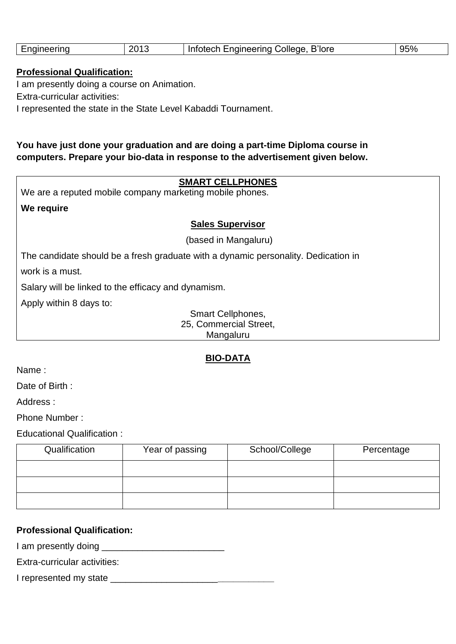|  | Engineering | 201<br>∠∪ | <b>B'lore</b><br>College<br>Lnaineerina<br>Infotech | 95% |
|--|-------------|-----------|-----------------------------------------------------|-----|
|--|-------------|-----------|-----------------------------------------------------|-----|

### **Professional Qualification:**

I am presently doing a course on Animation.

Extra-curricular activities:

I represented the state in the State Level Kabaddi Tournament.

## **You have just done your graduation and are doing a part-time Diploma course in computers. Prepare your bio-data in response to the advertisement given below.**

### **SMART CELLPHONES**

We are a reputed mobile company marketing mobile phones.

### **We require**

#### **Sales Supervisor**

(based in Mangaluru)

The candidate should be a fresh graduate with a dynamic personality. Dedication in

work is a must.

Salary will be linked to the efficacy and dynamism.

Apply within 8 days to:

Smart Cellphones, 25, Commercial Street, Mangaluru

## **BIO-DATA**

Name :

Date of Birth :

Address :

Phone Number :

Educational Qualification :

| Qualification | Year of passing | School/College | Percentage |
|---------------|-----------------|----------------|------------|
|               |                 |                |            |
|               |                 |                |            |
|               |                 |                |            |

### **Professional Qualification:**

I am presently doing \_\_\_\_\_\_\_\_\_\_\_\_\_\_\_\_\_\_\_\_\_\_\_\_

Extra-curricular activities:

I represented my state \_\_\_\_\_\_\_\_\_\_\_\_\_\_\_\_\_\_\_\_\_**\_\_\_\_\_\_\_\_\_\_\_**